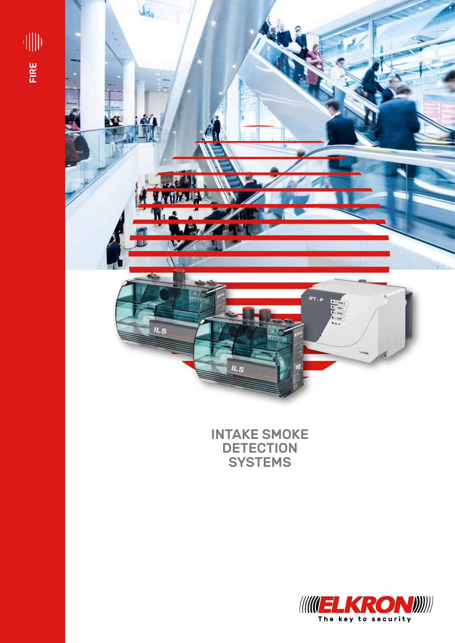

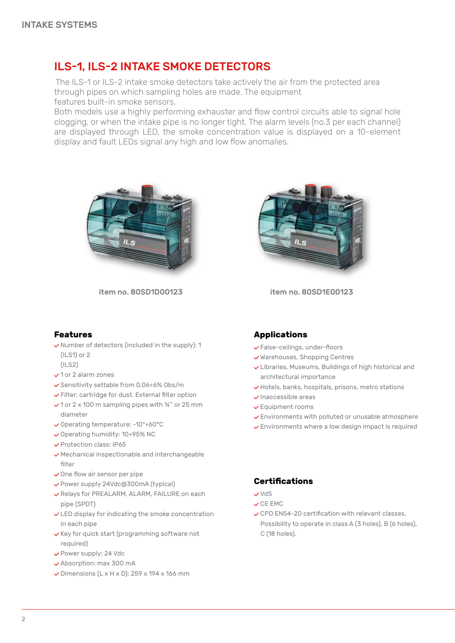# ILS-1, ILS-2 INTAKE SMOKE DETECTORS

The ILS-1 or ILS-2 intake smoke detectors take actively the air from the protected area through pipes on which sampling holes are made. The equipment features built-in smoke sensors.

Both models use a highly performing exhauster and flow control circuits able to signal hole clogging, or when the intake pipe is no longer tight. The alarm levels (no.3 per each channel) are displayed through LED, the smoke concentration value is displayed on a 10-element display and fault LEDs signal any high and low flow anomalies.



item no. 80SD1D00123 item no. 80SD1E00123



#### **Features**

- $\checkmark$  Number of detectors (included in the supply): 1 (ILS1) or 2
	- $(II, S2)$
- $\times$ 1 or 2 alarm zones
- Sensitivity settable from 0.06÷6% Obs/m
- Filter: cartridge for dust. External filter option
- $\checkmark$  1 or 2 x 100 m sampling pipes with  $\frac{3}{4}$ " or 25 mm diameter
- Operating temperature: -10°÷60°C
- $\vee$  Operating humidity: 10÷95% NC
- $\vee$  Protection class: IP65
- $\vee$  Mechanical inspectionable and interchangeable filter
- $\vee$  One flow air sensor per pipe
- Power supply 24Vdc@300mA (typical)
- Relays for PREALARM, ALARM, FAILURE on each pipe (SPDT)
- $\vee$  LED display for indicating the smoke concentration in each pipe
- $\checkmark$  Key for quick start (programming software not required)
- Power supply: 24 Vdc
- Absorption: max 300 mA
- $\checkmark$  Dimensions (L x H x D): 259 x 194 x 166 mm

### **Applications**

- False-ceilings, under-floors
- Warehouses, Shopping Centres
- Libraries, Museums, Buildings of high historical and architectural importance
- $\checkmark$  Hotels, banks, hospitals, prisons, metro stations
- $\checkmark$  Inaccessible areas
- Equipment rooms
- Environments with polluted or unusable atmosphere
- $\vee$  Environments where a low design impact is required

## **Certifications**

- VdS
- $\checkmark$  CE EMC
- CPD EN54-20 certification with relevant classes. Possibility to operate in class A (3 holes), B (6 holes), C (18 holes).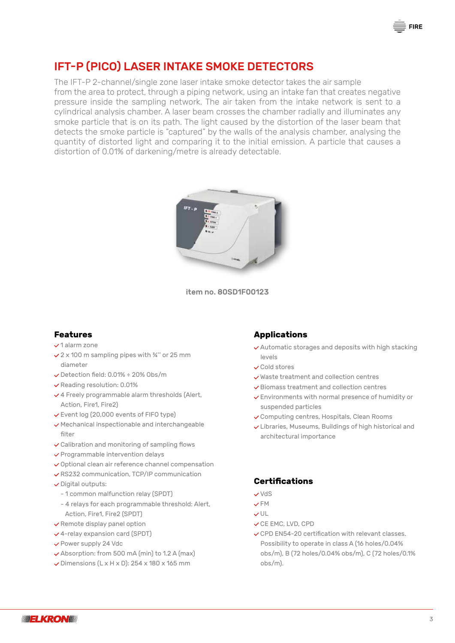

The IFT-P 2-channel/single zone laser intake smoke detector takes the air sample from the area to protect, through a piping network, using an intake fan that creates negative pressure inside the sampling network. The air taken from the intake network is sent to a cylindrical analysis chamber. A laser beam crosses the chamber radially and illuminates any smoke particle that is on its path. The light caused by the distortion of the laser beam that detects the smoke particle is "captured" by the walls of the analysis chamber, analysing the quantity of distorted light and comparing it to the initial emission. A particle that causes a distortion of 0.01% of darkening/metre is already detectable.



item no. 80SD1F00123

#### **Features**

#### $\checkmark$ 1 alarm zone

- 2 x 100 m sampling pipes with ¾'' or 25 mm diameter
- $\vee$  Detection field: 0.01%  $\div$  20% Obs/m
- $\checkmark$  Reading resolution: 0.01%
- $\vee$  4 Freely programmable alarm thresholds (Alert, Action, Fire1, Fire2)
- Event log (20,000 events of FIFO type)
- $\vee$  Mechanical inspectionable and interchangeable filter
- $\checkmark$  Calibration and monitoring of sampling flows
- $\checkmark$  Programmable intervention delays
- $\vee$  Optional clean air reference channel compensation
- RS232 communication, TCP/IP communication
- Digital outputs:
- 1 common malfunction relay (SPDT)
- 4 relays for each programmable threshold: Alert, Action, Fire1, Fire2 (SPDT)
- $\vee$  Remote display panel option
- 4-relay expansion card (SPDT)
- $\vee$  Power supply 24 Vdc
- Absorption: from 500 mA (min) to 1.2 A (max)
- $\checkmark$  Dimensions (L x H x D): 254 x 180 x 165 mm

### **Applications**

- $\vee$  Automatic storages and deposits with high stacking levels
- $\checkmark$  Cold stores
- Waste treatment and collection centres
- $\checkmark$  Biomass treatment and collection centres
- Environments with normal presence of humidity or suspended particles
- Computing centres, Hospitals, Clean Rooms
- Libraries, Museums, Buildings of high historical and architectural importance

## **Certifications**

- VdS
- $YFM$
- $V$ UL
- CE EMC, LVD, CPD
- CPD EN54-20 certification with relevant classes. Possibility to operate in class A (16 holes/0.04% obs/m), B (72 holes/0.04% obs/m), C (72 holes/0.1% obs/m).

**FIRE**